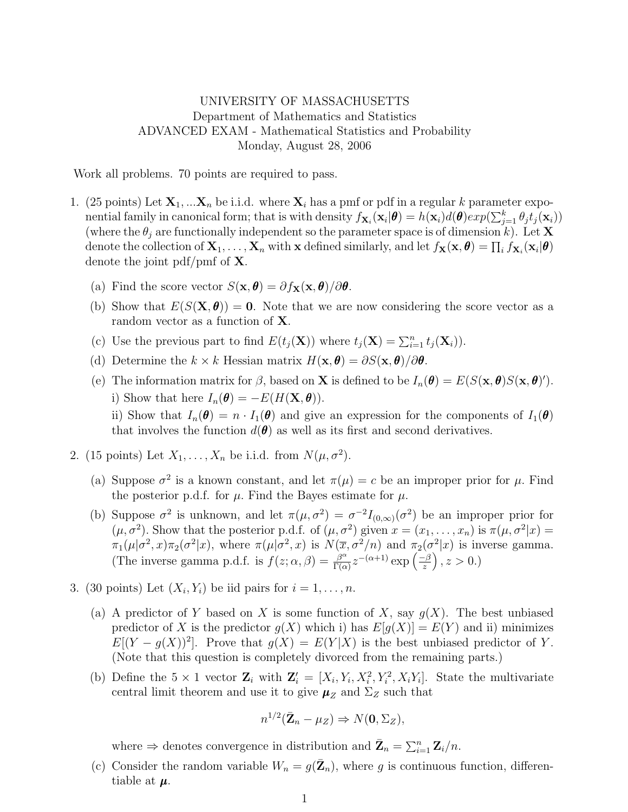## UNIVERSITY OF MASSACHUSETTS Department of Mathematics and Statistics ADVANCED EXAM - Mathematical Statistics and Probability Monday, August 28, 2006

Work all problems. 70 points are required to pass.

- 1. (25 points) Let  $X_1, \ldots X_n$  be i.i.d. where  $X_i$  has a pmf or pdf in a regular k parameter exponential family in canonical form; that is with density  $f_{\mathbf{X}_i}(\mathbf{x}_i|\boldsymbol{\theta}) = h(\mathbf{x}_i)d(\boldsymbol{\theta})exp(\sum_{j=1}^k \theta_j t_j(\mathbf{x}_i))$ (where the  $\theta_i$  are functionally independent so the parameter space is of dimension k). Let **X** denote the collection of  $X_1, \ldots, X_n$  with x defined similarly, and let  $f_{\mathbf{X}}(\mathbf{x}, \boldsymbol{\theta}) = \prod_i f_{\mathbf{X}_i}(\mathbf{x}_i | \boldsymbol{\theta})$ denote the joint pdf/pmf of  $X$ .
	- (a) Find the score vector  $S(\mathbf{x}, \boldsymbol{\theta}) = \partial f_{\mathbf{X}}(\mathbf{x}, \boldsymbol{\theta}) / \partial \boldsymbol{\theta}$ .
	- (b) Show that  $E(S(\mathbf{X}, \boldsymbol{\theta})) = \mathbf{0}$ . Note that we are now considering the score vector as a random vector as a function of X.
	- (c) Use the previous part to find  $E(t_j(\mathbf{X}))$  where  $t_j(\mathbf{X}) = \sum_{i=1}^n t_j(\mathbf{X}_i)$ .
	- (d) Determine the  $k \times k$  Hessian matrix  $H(\mathbf{x}, \boldsymbol{\theta}) = \partial S(\mathbf{x}, \boldsymbol{\theta}) / \partial \boldsymbol{\theta}$ .
	- (e) The information matrix for  $\beta$ , based on **X** is defined to be  $I_n(\theta) = E(S(\mathbf{x}, \theta)S(\mathbf{x}, \theta))$ . i) Show that here  $I_n(\boldsymbol{\theta}) = -E(H(\mathbf{X}, \boldsymbol{\theta})).$ ii) Show that  $I_n(\theta) = n \cdot I_1(\theta)$  and give an expression for the components of  $I_1(\theta)$

that involves the function  $d(\theta)$  as well as its first and second derivatives.

- 2. (15 points) Let  $X_1, \ldots, X_n$  be i.i.d. from  $N(\mu, \sigma^2)$ .
	- (a) Suppose  $\sigma^2$  is a known constant, and let  $\pi(\mu) = c$  be an improper prior for  $\mu$ . Find the posterior p.d.f. for  $\mu$ . Find the Bayes estimate for  $\mu$ .
	- (b) Suppose  $\sigma^2$  is unknown, and let  $\pi(\mu, \sigma^2) = \sigma^{-2} I_{(0,\infty)}(\sigma^2)$  be an improper prior for  $(\mu, \sigma^2)$ . Show that the posterior p.d.f. of  $(\mu, \sigma^2)$  given  $x = (x_1, \dots, x_n)$  is  $\pi(\mu, \sigma^2|x) =$  $\pi_1(\mu|\sigma^2, x)\pi_2(\sigma^2|x)$ , where  $\pi(\mu|\sigma^2, x)$  is  $N(\overline{x}, \sigma^2/n)$  and  $\pi_2(\sigma^2|x)$  is inverse gamma. (The inverse gamma p.d.f. is  $f(z; \alpha, \beta) = \frac{\beta^{\alpha}}{\Gamma(\alpha)}$  $\frac{\beta^{\alpha}}{\Gamma(\alpha)}z^{-(\alpha+1)}\exp\left(\frac{-\beta}{z}\right)$ z  $\big), z > 0.$
- 3. (30 points) Let  $(X_i, Y_i)$  be iid pairs for  $i = 1, \ldots, n$ .
	- (a) A predictor of Y based on X is some function of X, say  $g(X)$ . The best unbiased predictor of X is the predictor  $g(X)$  which i) has  $E[g(X)] = E(Y)$  and ii) minimizes  $E[(Y - g(X))^2]$ . Prove that  $g(X) = E(Y|X)$  is the best unbiased predictor of Y. (Note that this question is completely divorced from the remaining parts.)
	- (b) Define the  $5 \times 1$  vector  $\mathbf{Z}_i$  with  $\mathbf{Z}'_i = [X_i, Y_i, X_i^2, Y_i^2, X_iY_i]$ . State the multivariate central limit theorem and use it to give  $\mu_Z$  and  $\Sigma_Z$  such that

$$
n^{1/2}(\bar{\mathbf{Z}}_n - \mu_Z) \Rightarrow N(\mathbf{0}, \Sigma_Z),
$$

where  $\Rightarrow$  denotes convergence in distribution and  $\bar{\mathbf{Z}}_n = \sum_{i=1}^n \mathbf{Z}_i/n$ .

(c) Consider the random variable  $W_n = g(\bar{\mathbf{Z}}_n)$ , where g is continuous function, differentiable at  $\mu$ .